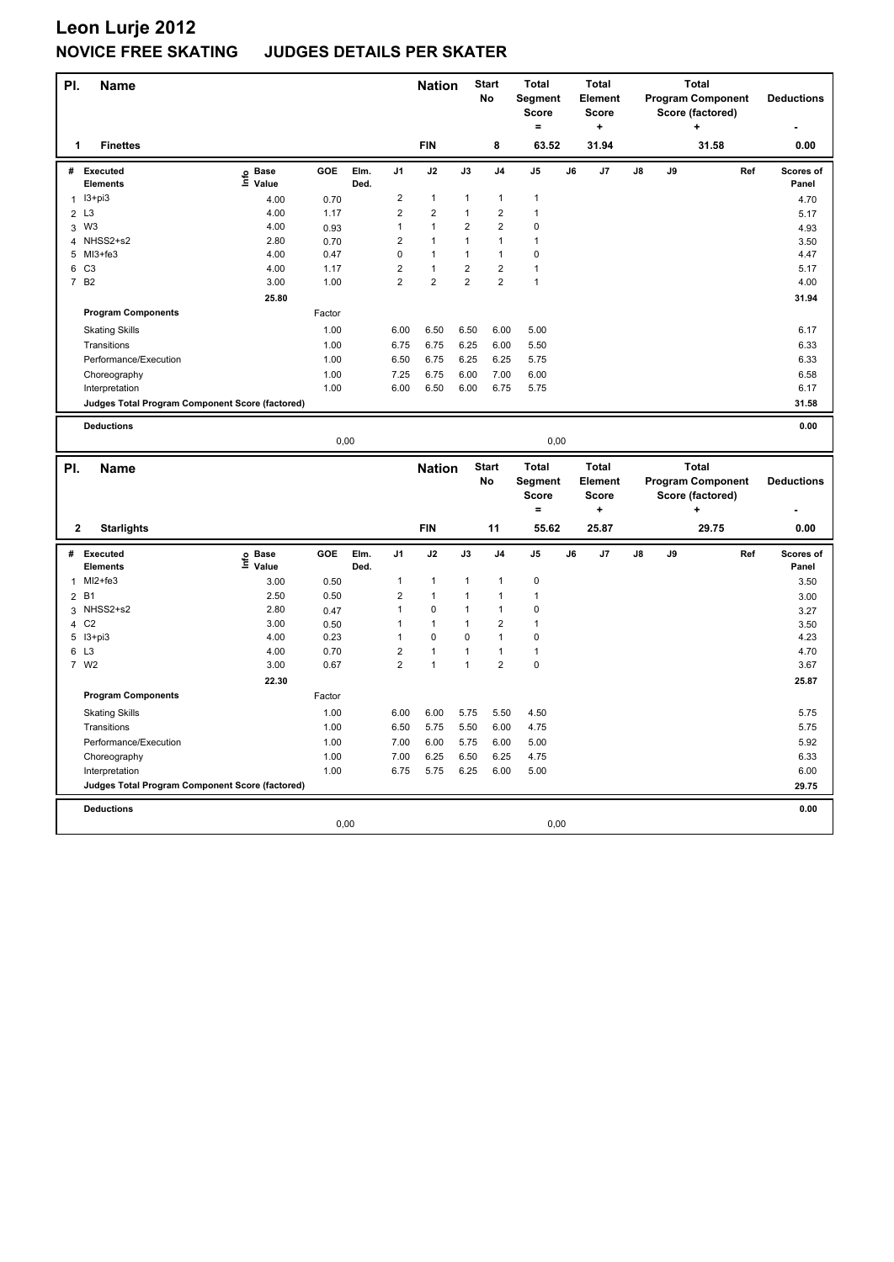| PI.            | <b>Name</b>                                     |                                  |        |              |                         | <b>Nation</b>           |                         | <b>Start</b><br>No | <b>Total</b><br>Segment<br><b>Score</b><br>$=$ |    | <b>Total</b><br>Element<br><b>Score</b><br>$\ddot{}$ |    |    | <b>Total</b><br><b>Program Component</b><br>Score (factored)<br>+ |     | <b>Deductions</b>  |
|----------------|-------------------------------------------------|----------------------------------|--------|--------------|-------------------------|-------------------------|-------------------------|--------------------|------------------------------------------------|----|------------------------------------------------------|----|----|-------------------------------------------------------------------|-----|--------------------|
| 1              | <b>Finettes</b>                                 |                                  |        |              |                         | <b>FIN</b>              |                         | 8                  | 63.52                                          |    | 31.94                                                |    |    | 31.58                                                             |     | 0.00               |
| #              | <b>Executed</b><br><b>Elements</b>              | <b>Base</b><br>e Base<br>⊆ Value | GOE    | Elm.<br>Ded. | J <sub>1</sub>          | J2                      | J3                      | J <sub>4</sub>     | J5                                             | J6 | J7                                                   | J8 | J9 |                                                                   | Ref | Scores of<br>Panel |
|                | $1$ $13+pi3$                                    | 4.00                             | 0.70   |              | $\overline{\mathbf{c}}$ | $\mathbf{1}$            | $\mathbf{1}$            | $\mathbf{1}$       | $\mathbf{1}$                                   |    |                                                      |    |    |                                                                   |     | 4.70               |
| $\overline{2}$ | L <sub>3</sub>                                  | 4.00                             | 1.17   |              | $\overline{2}$          | $\overline{2}$          | $\mathbf{1}$            | $\overline{c}$     | $\overline{1}$                                 |    |                                                      |    |    |                                                                   |     | 5.17               |
| 3              | W <sub>3</sub>                                  | 4.00                             | 0.93   |              | $\mathbf{1}$            | $\mathbf{1}$            | $\overline{\mathbf{c}}$ | $\overline{2}$     | $\pmb{0}$                                      |    |                                                      |    |    |                                                                   |     | 4.93               |
| $\overline{4}$ | NHSS2+s2                                        | 2.80                             | 0.70   |              | $\overline{2}$          | $\mathbf{1}$            | $\mathbf{1}$            | $\mathbf{1}$       | $\mathbf{1}$                                   |    |                                                      |    |    |                                                                   |     | 3.50               |
|                | 5 MI3+fe3                                       | 4.00                             | 0.47   |              | 0                       | $\mathbf{1}$            | $\mathbf{1}$            | $\overline{1}$     | $\pmb{0}$                                      |    |                                                      |    |    |                                                                   |     | 4.47               |
|                | 6 C3                                            | 4.00                             | 1.17   |              | $\overline{2}$          | $\mathbf{1}$            | $\overline{2}$          | $\overline{2}$     | $\mathbf{1}$                                   |    |                                                      |    |    |                                                                   |     | 5.17               |
| $\overline{7}$ | B <sub>2</sub>                                  | 3.00                             | 1.00   |              | $\overline{2}$          | $\overline{\mathbf{c}}$ | $\overline{2}$          | $\overline{2}$     | $\mathbf{1}$                                   |    |                                                      |    |    |                                                                   |     | 4.00               |
|                |                                                 | 25.80                            |        |              |                         |                         |                         |                    |                                                |    |                                                      |    |    |                                                                   |     | 31.94              |
|                | <b>Program Components</b>                       |                                  | Factor |              |                         |                         |                         |                    |                                                |    |                                                      |    |    |                                                                   |     |                    |
|                | <b>Skating Skills</b>                           |                                  | 1.00   |              | 6.00                    | 6.50                    | 6.50                    | 6.00               | 5.00                                           |    |                                                      |    |    |                                                                   |     | 6.17               |
|                | Transitions                                     |                                  | 1.00   |              | 6.75                    | 6.75                    | 6.25                    | 6.00               | 5.50                                           |    |                                                      |    |    |                                                                   |     | 6.33               |
|                | Performance/Execution                           |                                  | 1.00   |              | 6.50                    | 6.75                    | 6.25                    | 6.25               | 5.75                                           |    |                                                      |    |    |                                                                   |     | 6.33               |
|                | Choreography                                    |                                  | 1.00   |              | 7.25                    | 6.75                    | 6.00                    | 7.00               | 6.00                                           |    |                                                      |    |    |                                                                   |     | 6.58               |
|                | Interpretation                                  |                                  | 1.00   |              | 6.00                    | 6.50                    | 6.00                    | 6.75               | 5.75                                           |    |                                                      |    |    |                                                                   |     | 6.17               |
|                | Judges Total Program Component Score (factored) |                                  |        |              |                         |                         |                         |                    |                                                |    |                                                      |    |    |                                                                   |     | 31.58              |
|                |                                                 |                                  |        |              |                         |                         |                         |                    |                                                |    |                                                      |    |    |                                                                   |     |                    |
|                | <b>Deductions</b>                               |                                  |        |              |                         |                         |                         |                    |                                                |    |                                                      |    |    |                                                                   |     | 0.00               |
|                |                                                 |                                  | 0,00   |              |                         |                         |                         |                    | 0,00                                           |    |                                                      |    |    |                                                                   |     |                    |
|                |                                                 |                                  |        |              |                         |                         |                         |                    |                                                |    |                                                      |    |    |                                                                   |     |                    |
|                |                                                 |                                  |        |              |                         |                         |                         |                    |                                                |    |                                                      |    |    | <b>Total</b>                                                      |     |                    |
| PI.            | <b>Name</b>                                     |                                  |        |              |                         | <b>Nation</b>           |                         | <b>Start</b><br>No | <b>Total</b>                                   |    | <b>Total</b><br>Element                              |    |    |                                                                   |     | <b>Deductions</b>  |
|                |                                                 |                                  |        |              |                         |                         |                         |                    | Segment<br><b>Score</b>                        |    | Score                                                |    |    | <b>Program Component</b><br>Score (factored)                      |     |                    |
|                |                                                 |                                  |        |              |                         |                         |                         |                    | $=$                                            |    | ÷                                                    |    |    |                                                                   |     |                    |
| $\mathbf{2}$   | <b>Starlights</b>                               |                                  |        |              |                         | <b>FIN</b>              |                         | 11                 | 55.62                                          |    | 25.87                                                |    |    | 29.75                                                             |     | 0.00               |
|                | # Executed                                      | <b>Base</b>                      | GOE    | Elm.         | J <sub>1</sub>          | J2                      | J3                      | J <sub>4</sub>     | J <sub>5</sub>                                 | J6 | J7                                                   | J8 | J9 |                                                                   | Ref | Scores of          |
|                | <b>Elements</b>                                 | e Base<br>≞ Value                |        | Ded.         |                         |                         |                         |                    |                                                |    |                                                      |    |    |                                                                   |     | Panel              |
| $\mathbf{1}$   | MI2+fe3                                         | 3.00                             | 0.50   |              | 1                       | $\mathbf{1}$            | 1                       | $\mathbf{1}$       | $\pmb{0}$                                      |    |                                                      |    |    |                                                                   |     | 3.50               |
|                | 2 B1                                            | 2.50                             | 0.50   |              | $\overline{\mathbf{c}}$ | $\mathbf{1}$            | $\overline{1}$          | $\mathbf{1}$       | $\mathbf{1}$                                   |    |                                                      |    |    |                                                                   |     | 3.00               |
| 3              | NHSS2+s2                                        | 2.80                             | 0.47   |              | $\mathbf{1}$            | $\pmb{0}$               | 1                       | $\overline{1}$     | $\pmb{0}$                                      |    |                                                      |    |    |                                                                   |     | 3.27               |
| $\overline{4}$ | C <sub>2</sub>                                  | 3.00                             | 0.50   |              | 1                       | $\mathbf{1}$            | $\mathbf{1}$            | $\overline{2}$     | $\mathbf{1}$                                   |    |                                                      |    |    |                                                                   |     | 3.50               |
| 5              | $13 + pi3$                                      | 4.00                             | 0.23   |              | $\mathbf{1}$            | $\pmb{0}$               | 0                       | $\mathbf{1}$       | $\pmb{0}$                                      |    |                                                      |    |    |                                                                   |     | 4.23               |
| 6              | L <sub>3</sub>                                  | 4.00                             | 0.70   |              | $\overline{\mathbf{c}}$ | $\mathbf{1}$            | 1                       | $\mathbf{1}$       | $\mathbf{1}$                                   |    |                                                      |    |    |                                                                   |     | 4.70               |
|                | 7 W2                                            | 3.00                             | 0.67   |              | $\overline{2}$          | $\mathbf{1}$            | $\mathbf{1}$            | $\overline{2}$     | $\pmb{0}$                                      |    |                                                      |    |    |                                                                   |     | 3.67               |
|                |                                                 | 22.30                            |        |              |                         |                         |                         |                    |                                                |    |                                                      |    |    |                                                                   |     | 25.87              |
|                | <b>Program Components</b>                       |                                  | Factor |              |                         |                         |                         |                    |                                                |    |                                                      |    |    |                                                                   |     |                    |
|                | <b>Skating Skills</b>                           |                                  | 1.00   |              | 6.00                    | 6.00                    | 5.75                    | 5.50               | 4.50                                           |    |                                                      |    |    |                                                                   |     | 5.75               |
|                | Transitions                                     |                                  | 1.00   |              | 6.50                    | 5.75                    | 5.50                    | 6.00               | 4.75                                           |    |                                                      |    |    |                                                                   |     | 5.75               |
|                | Performance/Execution                           |                                  | 1.00   |              | 7.00                    | 6.00                    | 5.75                    | 6.00               | 5.00                                           |    |                                                      |    |    |                                                                   |     | 5.92               |
|                | Choreography                                    |                                  | 1.00   |              | 7.00                    | 6.25                    | 6.50                    | 6.25               | 4.75                                           |    |                                                      |    |    |                                                                   |     | 6.33               |
|                | Interpretation                                  |                                  | 1.00   |              | 6.75                    | 5.75                    | 6.25                    | 6.00               | 5.00                                           |    |                                                      |    |    |                                                                   |     | 6.00               |
|                | Judges Total Program Component Score (factored) |                                  |        |              |                         |                         |                         |                    |                                                |    |                                                      |    |    |                                                                   |     | 29.75              |
|                |                                                 |                                  |        |              |                         |                         |                         |                    |                                                |    |                                                      |    |    |                                                                   |     |                    |
|                | <b>Deductions</b>                               |                                  | 0,00   |              |                         |                         |                         |                    | 0,00                                           |    |                                                      |    |    |                                                                   |     | 0.00               |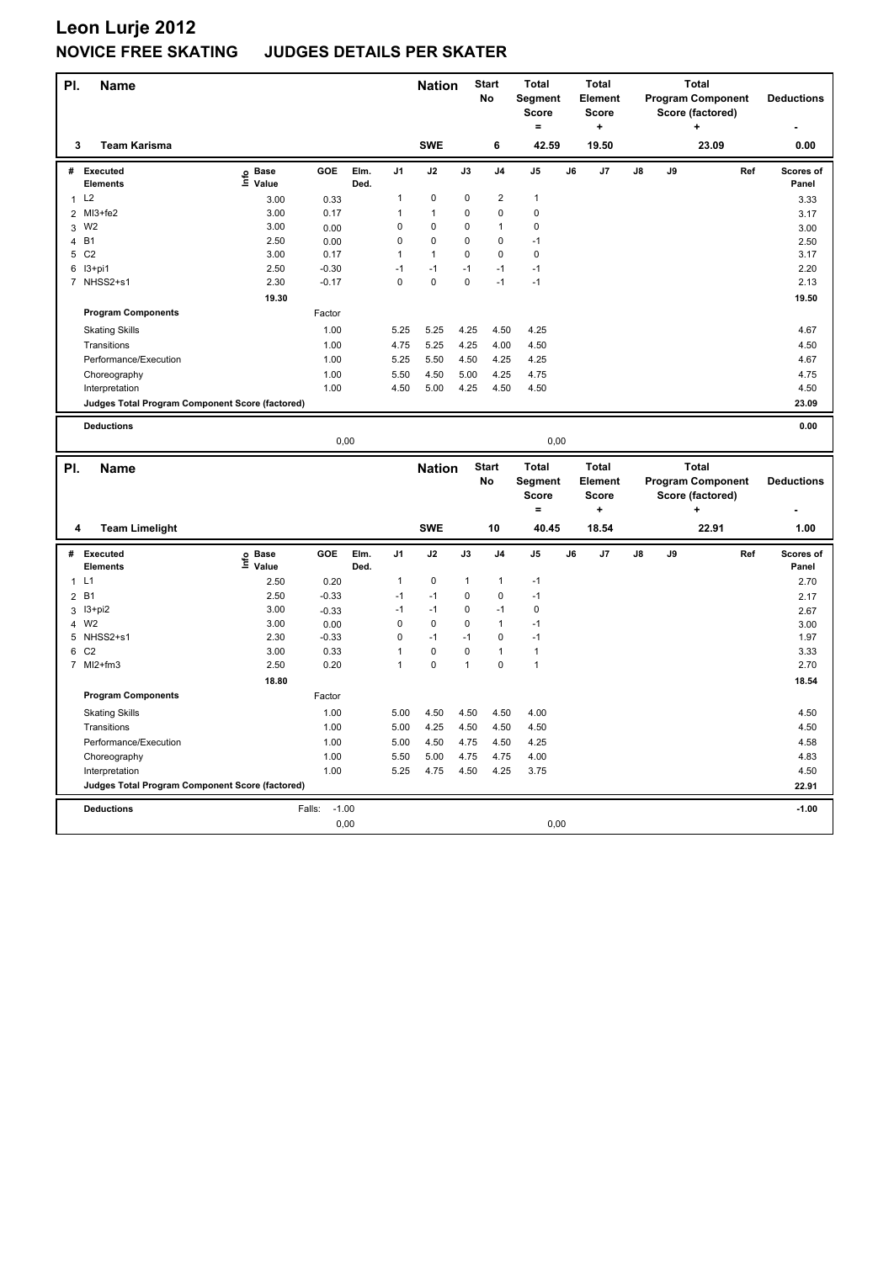| PI.            | <b>Name</b>                                     |                                  |                   |              |             | <b>Nation</b>  |              | <b>Start</b><br>No | <b>Total</b><br>Segment<br><b>Score</b><br>$=$ |    | <b>Total</b><br>Element<br>Score<br>$\ddot{}$ |    |    | <b>Total</b><br><b>Program Component</b><br>Score (factored)<br>۰. |     | <b>Deductions</b>  |
|----------------|-------------------------------------------------|----------------------------------|-------------------|--------------|-------------|----------------|--------------|--------------------|------------------------------------------------|----|-----------------------------------------------|----|----|--------------------------------------------------------------------|-----|--------------------|
| 3              | <b>Team Karisma</b>                             |                                  |                   |              |             | <b>SWE</b>     |              | 6                  | 42.59                                          |    | 19.50                                         |    |    | 23.09                                                              |     | 0.00               |
| #              | <b>Executed</b><br>Elements                     | <b>Base</b><br>e Base<br>⊆ Value | GOE               | Elm.<br>Ded. | J1          | J2             | J3           | J <sub>4</sub>     | J5                                             | J6 | J7                                            | J8 | J9 |                                                                    | Ref | Scores of<br>Panel |
|                | 1 L2                                            | 3.00                             | 0.33              |              | 1           | $\pmb{0}$      | $\mathbf 0$  | $\boldsymbol{2}$   | $\mathbf{1}$                                   |    |                                               |    |    |                                                                    |     | 3.33               |
| $\overline{2}$ | MI3+fe2                                         | 3.00                             | 0.17              |              | 1           | $\overline{1}$ | 0            | $\mathbf 0$        | $\mathbf 0$                                    |    |                                               |    |    |                                                                    |     | 3.17               |
| 3              | W <sub>2</sub>                                  | 3.00                             | 0.00              |              | 0           | $\pmb{0}$      | 0            | $\mathbf{1}$       | $\pmb{0}$                                      |    |                                               |    |    |                                                                    |     | 3.00               |
| $\overline{4}$ | <b>B1</b>                                       | 2.50                             | 0.00              |              | 0           | $\mathbf 0$    | 0            | $\mathbf 0$        | $-1$                                           |    |                                               |    |    |                                                                    |     | 2.50               |
| 5              | C <sub>2</sub>                                  | 3.00                             | 0.17              |              | 1           | $\overline{1}$ | $\pmb{0}$    | $\pmb{0}$          | $\pmb{0}$                                      |    |                                               |    |    |                                                                    |     | 3.17               |
| 6              | I3+pi1                                          | 2.50                             | $-0.30$           |              | $-1$        | $-1$           | $-1$         | $-1$               | $-1$                                           |    |                                               |    |    |                                                                    |     | 2.20               |
|                | 7 NHSS2+s1                                      | 2.30                             | $-0.17$           |              | $\mathbf 0$ | $\pmb{0}$      | $\mathbf 0$  | $-1$               | $-1$                                           |    |                                               |    |    |                                                                    |     | 2.13               |
|                |                                                 | 19.30                            |                   |              |             |                |              |                    |                                                |    |                                               |    |    |                                                                    |     | 19.50              |
|                | <b>Program Components</b>                       |                                  | Factor            |              |             |                |              |                    |                                                |    |                                               |    |    |                                                                    |     |                    |
|                | <b>Skating Skills</b>                           |                                  | 1.00              |              | 5.25        | 5.25           | 4.25         | 4.50               | 4.25                                           |    |                                               |    |    |                                                                    |     | 4.67               |
|                | Transitions                                     |                                  | 1.00              |              | 4.75        | 5.25           | 4.25         | 4.00               | 4.50                                           |    |                                               |    |    |                                                                    |     | 4.50               |
|                | Performance/Execution                           |                                  | 1.00              |              | 5.25        | 5.50           | 4.50         | 4.25               | 4.25                                           |    |                                               |    |    |                                                                    |     | 4.67               |
|                | Choreography                                    |                                  | 1.00              |              | 5.50        | 4.50           | 5.00         | 4.25               | 4.75                                           |    |                                               |    |    |                                                                    |     | 4.75               |
|                | Interpretation                                  |                                  | 1.00              |              | 4.50        | 5.00           | 4.25         | 4.50               | 4.50                                           |    |                                               |    |    |                                                                    |     | 4.50               |
|                | Judges Total Program Component Score (factored) |                                  |                   |              |             |                |              |                    |                                                |    |                                               |    |    |                                                                    |     | 23.09              |
|                |                                                 |                                  |                   |              |             |                |              |                    |                                                |    |                                               |    |    |                                                                    |     |                    |
|                | <b>Deductions</b>                               |                                  | 0,00              |              |             |                |              |                    | 0,00                                           |    |                                               |    |    |                                                                    |     | 0.00               |
|                |                                                 |                                  |                   |              |             |                |              |                    |                                                |    |                                               |    |    |                                                                    |     |                    |
|                |                                                 |                                  |                   |              |             |                |              |                    |                                                |    |                                               |    |    |                                                                    |     |                    |
| PI.            |                                                 |                                  |                   |              |             | <b>Nation</b>  |              | <b>Start</b>       | <b>Total</b>                                   |    | <b>Total</b>                                  |    |    | <b>Total</b>                                                       |     |                    |
|                | Name                                            |                                  |                   |              |             |                |              | No                 | Segment                                        |    | Element                                       |    |    | <b>Program Component</b>                                           |     | <b>Deductions</b>  |
|                |                                                 |                                  |                   |              |             |                |              |                    | <b>Score</b>                                   |    | <b>Score</b>                                  |    |    | Score (factored)                                                   |     |                    |
|                |                                                 |                                  |                   |              |             |                |              |                    | $=$                                            |    | ٠                                             |    |    | 4                                                                  |     |                    |
| 4              | <b>Team Limelight</b>                           |                                  |                   |              |             | <b>SWE</b>     |              | 10                 | 40.45                                          |    | 18.54                                         |    |    | 22.91                                                              |     | 1.00               |
| #              | Executed                                        | <b>Base</b>                      | GOE               | Elm.         | J1          | J2             | J3           | J <sub>4</sub>     | J5                                             | J6 | J7                                            | J8 | J9 |                                                                    | Ref | Scores of          |
|                | Elements                                        | e Base<br>≞ Value                |                   | Ded.         |             |                |              |                    |                                                |    |                                               |    |    |                                                                    |     | Panel              |
| $\mathbf{1}$   | L1                                              | 2.50                             | 0.20              |              | 1           | $\mathbf 0$    | $\mathbf{1}$ | $\mathbf{1}$       | $-1$                                           |    |                                               |    |    |                                                                    |     | 2.70               |
|                | 2 B1                                            | 2.50                             | $-0.33$           |              | $-1$        | $-1$           | $\pmb{0}$    | $\pmb{0}$          | $-1$                                           |    |                                               |    |    |                                                                    |     | 2.17               |
| 3              | $13 + pi2$                                      | 3.00                             | $-0.33$           |              | $-1$        | $-1$           | 0            | $-1$               | 0                                              |    |                                               |    |    |                                                                    |     | 2.67               |
| $\overline{4}$ | W <sub>2</sub>                                  | 3.00                             | 0.00              |              | $\mathsf 0$ | $\mathbf 0$    | $\mathbf 0$  | $\mathbf{1}$       | $-1$                                           |    |                                               |    |    |                                                                    |     | 3.00               |
| 5              | NHSS2+s1                                        | 2.30                             | $-0.33$           |              | 0           | $-1$           | $-1$         | $\pmb{0}$          | $-1$                                           |    |                                               |    |    |                                                                    |     | 1.97               |
| 6              | C <sub>2</sub>                                  | 3.00                             | 0.33              |              | 1           | $\mathbf 0$    | $\mathbf 0$  | $\mathbf{1}$       | $\mathbf{1}$                                   |    |                                               |    |    |                                                                    |     | 3.33               |
| $\overline{7}$ | $M12+fm3$                                       | 2.50                             | 0.20              |              | 1           | $\pmb{0}$      | $\mathbf{1}$ | $\pmb{0}$          | $\mathbf{1}$                                   |    |                                               |    |    |                                                                    |     | 2.70               |
|                |                                                 | 18.80                            |                   |              |             |                |              |                    |                                                |    |                                               |    |    |                                                                    |     | 18.54              |
|                | <b>Program Components</b>                       |                                  | Factor            |              |             |                |              |                    |                                                |    |                                               |    |    |                                                                    |     |                    |
|                | <b>Skating Skills</b>                           |                                  | 1.00              |              | 5.00        | 4.50           | 4.50         | 4.50               | 4.00                                           |    |                                               |    |    |                                                                    |     | 4.50               |
|                | Transitions                                     |                                  | 1.00              |              | 5.00        | 4.25           | 4.50         | 4.50               | 4.50                                           |    |                                               |    |    |                                                                    |     | 4.50               |
|                | Performance/Execution                           |                                  | 1.00              |              | 5.00        | 4.50           | 4.75         | 4.50               | 4.25                                           |    |                                               |    |    |                                                                    |     | 4.58               |
|                | Choreography                                    |                                  | 1.00              |              | 5.50        | 5.00           | 4.75         | 4.75               | 4.00                                           |    |                                               |    |    |                                                                    |     | 4.83               |
|                | Interpretation                                  |                                  | 1.00              |              | 5.25        | 4.75           | 4.50         | 4.25               | 3.75                                           |    |                                               |    |    |                                                                    |     | 4.50               |
|                | Judges Total Program Component Score (factored) |                                  |                   |              |             |                |              |                    |                                                |    |                                               |    |    |                                                                    |     | 22.91              |
|                | <b>Deductions</b>                               |                                  | Falls:<br>$-1.00$ |              |             |                |              |                    |                                                |    |                                               |    |    |                                                                    |     | $-1.00$            |
|                |                                                 |                                  | 0,00              |              |             |                |              |                    | 0,00                                           |    |                                               |    |    |                                                                    |     |                    |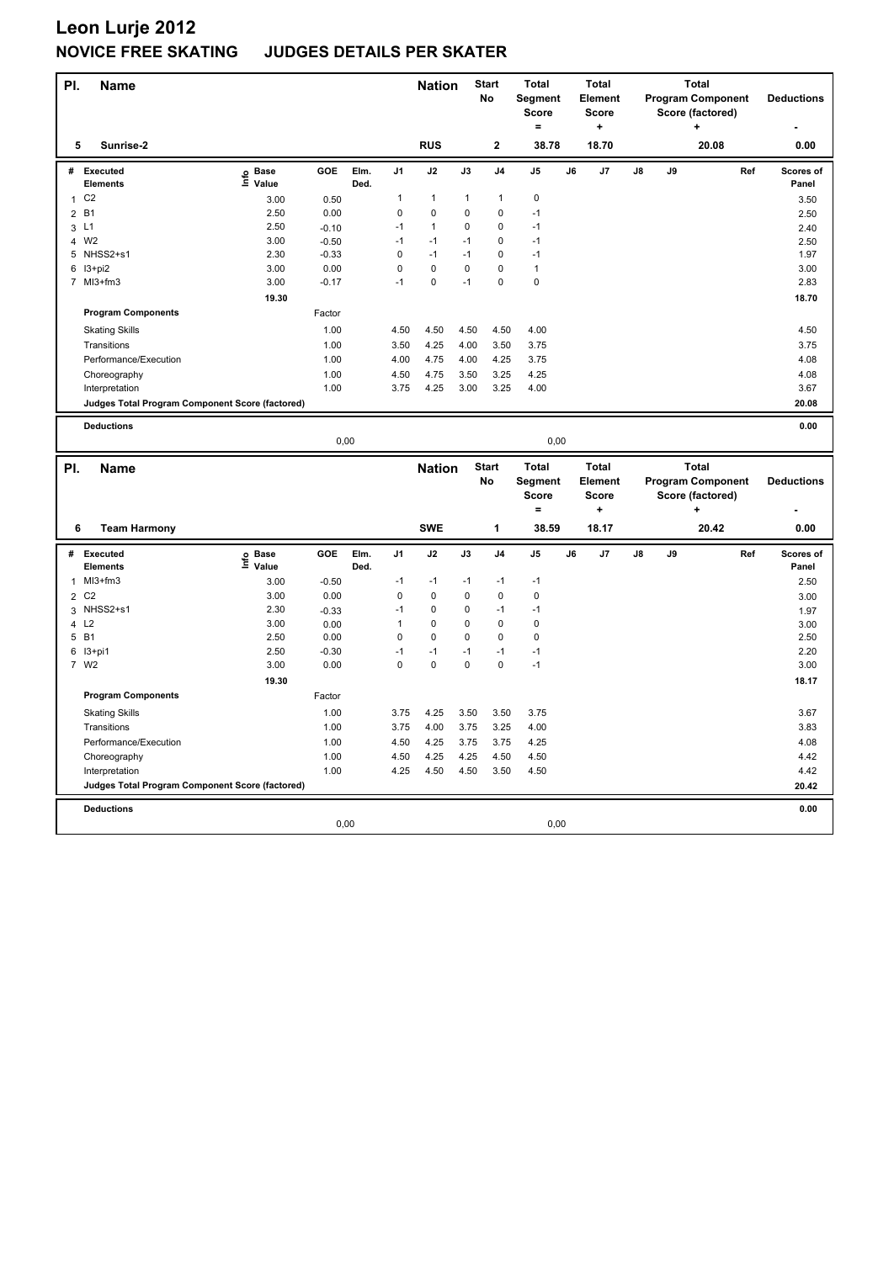| PI.                 | <b>Name</b>                                            |                           |                 |              |                | <b>Nation</b> |             | <b>Start</b><br>No | <b>Total</b><br>Segment<br><b>Score</b><br>$=$ |    | <b>Total</b><br>Element<br><b>Score</b><br>$\ddot{}$ |    |    | <b>Total</b><br><b>Program Component</b><br>Score (factored)<br>÷ |     | <b>Deductions</b>  |
|---------------------|--------------------------------------------------------|---------------------------|-----------------|--------------|----------------|---------------|-------------|--------------------|------------------------------------------------|----|------------------------------------------------------|----|----|-------------------------------------------------------------------|-----|--------------------|
| 5                   | Sunrise-2                                              |                           |                 |              |                | <b>RUS</b>    |             | $\mathbf 2$        | 38.78                                          |    | 18.70                                                |    |    | 20.08                                                             |     | 0.00               |
| #                   | <b>Executed</b><br><b>Elements</b>                     | <b>Base</b><br>e<br>Value | <b>GOE</b>      | Elm.<br>Ded. | J <sub>1</sub> | J2            | J3          | J <sub>4</sub>     | J <sub>5</sub>                                 | J6 | J <sub>7</sub>                                       | J8 | J9 |                                                                   | Ref | Scores of<br>Panel |
| $\mathbf{1}$        | C <sub>2</sub>                                         | 3.00                      | 0.50            |              | 1              | $\mathbf{1}$  | 1           | $\mathbf{1}$       | $\pmb{0}$                                      |    |                                                      |    |    |                                                                   |     | 3.50               |
| $\overline{2}$      | <b>B1</b>                                              | 2.50                      | 0.00            |              | 0              | $\pmb{0}$     | 0           | $\mathbf 0$        | $-1$                                           |    |                                                      |    |    |                                                                   |     | 2.50               |
| 3                   | L1                                                     | 2.50                      | $-0.10$         |              | $-1$           | $\mathbf{1}$  | 0           | $\mathbf 0$        | $-1$                                           |    |                                                      |    |    |                                                                   |     | 2.40               |
| $\overline{4}$      | W <sub>2</sub>                                         | 3.00                      | $-0.50$         |              | $-1$           | $-1$          | $-1$        | $\mathbf 0$        | $-1$                                           |    |                                                      |    |    |                                                                   |     | 2.50               |
| 5                   | NHSS2+s1                                               | 2.30                      | $-0.33$         |              | $\mathsf 0$    | $-1$          | $-1$        | $\mathbf 0$        | $-1$                                           |    |                                                      |    |    |                                                                   |     | 1.97               |
|                     | 6 13+pi2                                               | 3.00                      | 0.00            |              | 0              | $\mathbf 0$   | $\mathbf 0$ | $\mathbf 0$        | $\mathbf{1}$                                   |    |                                                      |    |    |                                                                   |     | 3.00               |
| $\overline{7}$      | MI3+fm3                                                | 3.00                      | $-0.17$         |              | $-1$           | $\pmb{0}$     | $-1$        | $\mathbf 0$        | $\pmb{0}$                                      |    |                                                      |    |    |                                                                   |     | 2.83               |
|                     |                                                        | 19.30                     |                 |              |                |               |             |                    |                                                |    |                                                      |    |    |                                                                   |     | 18.70              |
|                     | <b>Program Components</b>                              |                           | Factor          |              |                |               |             |                    |                                                |    |                                                      |    |    |                                                                   |     |                    |
|                     | <b>Skating Skills</b>                                  |                           | 1.00            |              | 4.50           | 4.50          | 4.50        | 4.50               | 4.00                                           |    |                                                      |    |    |                                                                   |     | 4.50               |
|                     | Transitions                                            |                           | 1.00            |              | 3.50           | 4.25          | 4.00        | 3.50               | 3.75                                           |    |                                                      |    |    |                                                                   |     | 3.75               |
|                     | Performance/Execution                                  |                           | 1.00            |              | 4.00           | 4.75          | 4.00        | 4.25               | 3.75                                           |    |                                                      |    |    |                                                                   |     | 4.08               |
|                     | Choreography                                           |                           | 1.00            |              | 4.50           | 4.75          | 3.50        | 3.25               | 4.25                                           |    |                                                      |    |    |                                                                   |     | 4.08               |
|                     | Interpretation                                         |                           | 1.00            |              | 3.75           | 4.25          | 3.00        | 3.25               | 4.00                                           |    |                                                      |    |    |                                                                   |     | 3.67               |
|                     | Judges Total Program Component Score (factored)        |                           |                 |              |                |               |             |                    |                                                |    |                                                      |    |    |                                                                   |     | 20.08              |
|                     |                                                        |                           |                 |              |                |               |             |                    |                                                |    |                                                      |    |    |                                                                   |     |                    |
|                     | <b>Deductions</b>                                      |                           |                 |              |                |               |             |                    |                                                |    |                                                      |    |    |                                                                   |     | 0.00               |
|                     |                                                        |                           | 0,00            |              |                |               |             |                    | 0,00                                           |    |                                                      |    |    |                                                                   |     |                    |
|                     |                                                        |                           |                 |              |                |               |             |                    |                                                |    |                                                      |    |    |                                                                   |     |                    |
|                     |                                                        |                           |                 |              |                |               |             |                    |                                                |    |                                                      |    |    |                                                                   |     |                    |
| PI.                 | <b>Name</b>                                            |                           |                 |              |                | <b>Nation</b> |             | <b>Start</b>       | <b>Total</b>                                   |    | <b>Total</b>                                         |    |    | <b>Total</b>                                                      |     |                    |
|                     |                                                        |                           |                 |              |                |               |             | No                 | Segment                                        |    | Element                                              |    |    | <b>Program Component</b>                                          |     | <b>Deductions</b>  |
|                     |                                                        |                           |                 |              |                |               |             |                    | <b>Score</b><br>$=$                            |    | <b>Score</b><br>٠                                    |    |    | Score (factored)<br>٠                                             |     |                    |
| 6                   | <b>Team Harmony</b>                                    |                           |                 |              |                | <b>SWE</b>    |             | 1                  | 38.59                                          |    | 18.17                                                |    |    | 20.42                                                             |     | 0.00               |
|                     |                                                        |                           |                 |              |                |               |             |                    |                                                |    |                                                      |    |    |                                                                   |     |                    |
| #                   | Executed<br>Elements                                   | <b>Base</b>               | <b>GOE</b>      | Elm.<br>Ded. | J <sub>1</sub> | J2            | J3          | J <sub>4</sub>     | J <sub>5</sub>                                 | J6 | J7                                                   | J8 | J9 |                                                                   | Ref | Scores of<br>Panel |
| 1                   | MI3+fm3                                                | e Base<br>⊆ Value         |                 |              | $-1$           | $-1$          | $-1$        | $-1$               | $-1$                                           |    |                                                      |    |    |                                                                   |     |                    |
|                     | C <sub>2</sub>                                         | 3.00<br>3.00              | $-0.50$<br>0.00 |              | $\mathbf 0$    | $\pmb{0}$     | 0           | $\mathbf 0$        | $\pmb{0}$                                      |    |                                                      |    |    |                                                                   |     | 2.50               |
| $\overline{2}$<br>3 | NHSS2+s1                                               | 2.30                      |                 |              | $-1$           | $\mathbf 0$   | 0           | $-1$               | $-1$                                           |    |                                                      |    |    |                                                                   |     | 3.00               |
| 4                   | L2                                                     | 3.00                      | $-0.33$<br>0.00 |              | 1              | $\mathbf 0$   | 0           | $\mathbf 0$        | $\mathbf 0$                                    |    |                                                      |    |    |                                                                   |     | 1.97<br>3.00       |
| 5                   | <b>B1</b>                                              | 2.50                      | 0.00            |              | 0              | 0             | 0           | $\mathbf 0$        | 0                                              |    |                                                      |    |    |                                                                   |     | 2.50               |
| 6                   | $13+pi1$                                               | 2.50                      | $-0.30$         |              | $-1$           | $-1$          | $-1$        | $-1$               | $-1$                                           |    |                                                      |    |    |                                                                   |     | 2.20               |
|                     | 7 W2                                                   | 3.00                      | 0.00            |              | $\mathbf 0$    | $\mathbf 0$   | $\mathbf 0$ | $\mathbf 0$        | $-1$                                           |    |                                                      |    |    |                                                                   |     | 3.00               |
|                     |                                                        | 19.30                     |                 |              |                |               |             |                    |                                                |    |                                                      |    |    |                                                                   |     | 18.17              |
|                     | <b>Program Components</b>                              |                           | Factor          |              |                |               |             |                    |                                                |    |                                                      |    |    |                                                                   |     |                    |
|                     |                                                        |                           | 1.00            |              | 3.75           | 4.25          | 3.50        | 3.50               | 3.75                                           |    |                                                      |    |    |                                                                   |     | 3.67               |
|                     | <b>Skating Skills</b><br>Transitions                   |                           | 1.00            |              | 3.75           | 4.00          | 3.75        | 3.25               | 4.00                                           |    |                                                      |    |    |                                                                   |     | 3.83               |
|                     | Performance/Execution                                  |                           | 1.00            |              | 4.50           | 4.25          | 3.75        | 3.75               | 4.25                                           |    |                                                      |    |    |                                                                   |     | 4.08               |
|                     | Choreography                                           |                           | 1.00            |              | 4.50           | 4.25          | 4.25        | 4.50               | 4.50                                           |    |                                                      |    |    |                                                                   |     | 4.42               |
|                     | Interpretation                                         |                           | 1.00            |              | 4.25           | 4.50          | 4.50        | 3.50               | 4.50                                           |    |                                                      |    |    |                                                                   |     | 4.42               |
|                     | <b>Judges Total Program Component Score (factored)</b> |                           |                 |              |                |               |             |                    |                                                |    |                                                      |    |    |                                                                   |     | 20.42              |
|                     |                                                        |                           |                 |              |                |               |             |                    |                                                |    |                                                      |    |    |                                                                   |     |                    |
|                     | <b>Deductions</b>                                      |                           | 0,00            |              |                |               |             |                    | 0,00                                           |    |                                                      |    |    |                                                                   |     | 0.00               |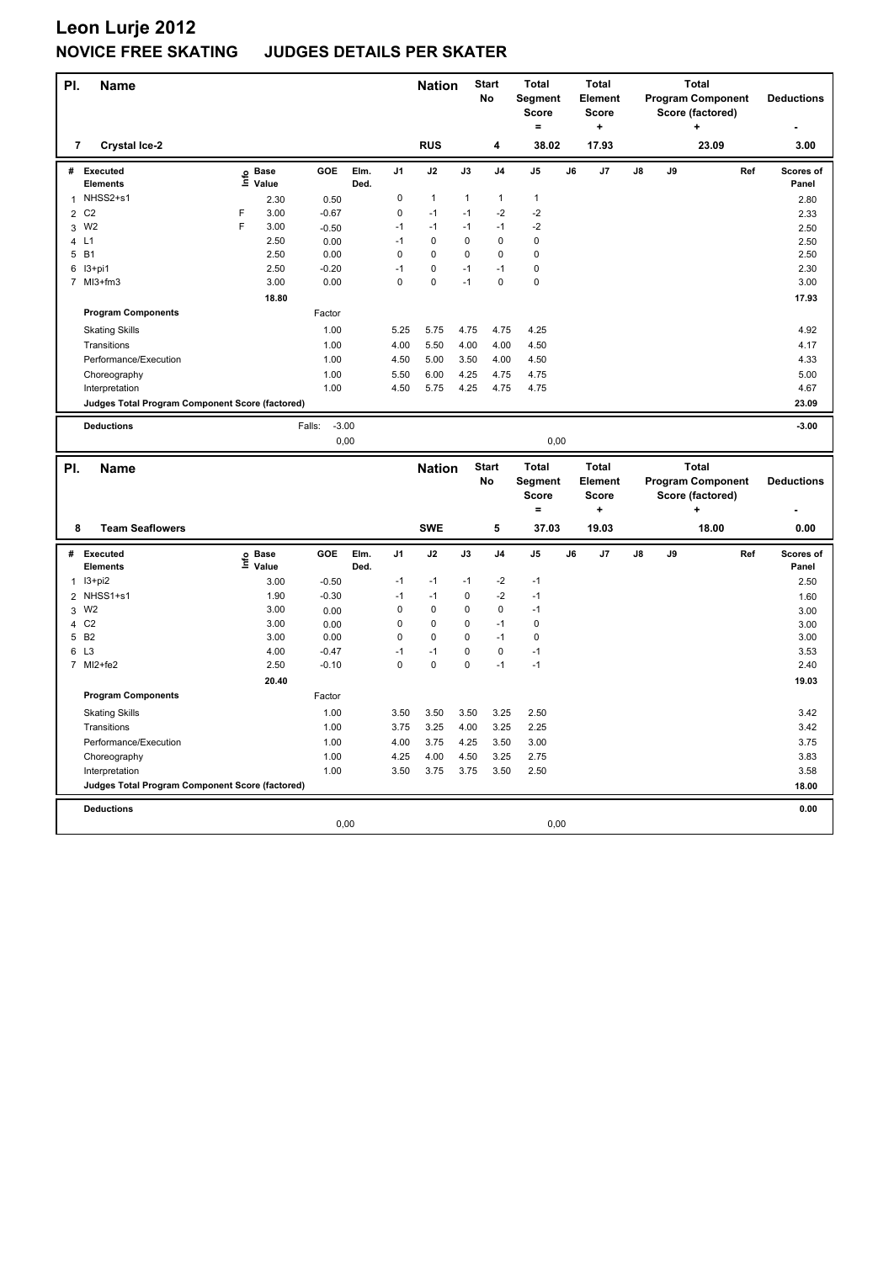| PI.            | Name                                            |                           |                      |                   |              |             | <b>Nation</b> |              | <b>Start</b><br><b>No</b> | <b>Total</b><br>Segment<br><b>Score</b><br>$\equiv$ |    | <b>Total</b><br>Element<br><b>Score</b><br>$\ddot{}$ |    |    | <b>Total</b><br><b>Program Component</b><br>Score (factored)<br>÷ |     | <b>Deductions</b>  |
|----------------|-------------------------------------------------|---------------------------|----------------------|-------------------|--------------|-------------|---------------|--------------|---------------------------|-----------------------------------------------------|----|------------------------------------------------------|----|----|-------------------------------------------------------------------|-----|--------------------|
| 7              | <b>Crystal Ice-2</b>                            |                           |                      |                   |              |             | <b>RUS</b>    |              | 4                         | 38.02                                               |    | 17.93                                                |    |    | 23.09                                                             |     | 3.00               |
| #              | Executed<br><b>Elements</b>                     | $\mathop{\mathsf{Inflo}}$ | <b>Base</b><br>Value | <b>GOE</b>        | Elm.<br>Ded. | J1          | J2            | J3           | J4                        | J5                                                  | J6 | J7                                                   | J8 | J9 |                                                                   | Ref | Scores of<br>Panel |
| 1              | NHSS2+s1                                        |                           | 2.30                 | 0.50              |              | $\pmb{0}$   | $\mathbf{1}$  | $\mathbf{1}$ | $\mathbf{1}$              | $\mathbf{1}$                                        |    |                                                      |    |    |                                                                   |     | 2.80               |
| $\overline{2}$ | C <sub>2</sub>                                  | F                         | 3.00                 | $-0.67$           |              | $\mathbf 0$ | $-1$          | $-1$         | $-2$                      | $-2$                                                |    |                                                      |    |    |                                                                   |     | 2.33               |
| 3              | W <sub>2</sub>                                  | F                         | 3.00                 | $-0.50$           |              | $-1$        | $-1$          | $-1$         | $-1$                      | $-2$                                                |    |                                                      |    |    |                                                                   |     | 2.50               |
| 4              | L1                                              |                           | 2.50                 | 0.00              |              | $-1$        | $\mathbf 0$   | $\mathbf 0$  | $\mathbf 0$               | $\mathbf 0$                                         |    |                                                      |    |    |                                                                   |     | 2.50               |
| 5              | <b>B1</b>                                       |                           | 2.50                 | 0.00              |              | $\mathbf 0$ | $\mathbf 0$   | 0            | $\mathbf 0$               | $\mathbf 0$                                         |    |                                                      |    |    |                                                                   |     | 2.50               |
| 6              | I3+pi1                                          |                           | 2.50                 | $-0.20$           |              | $-1$        | $\mathbf 0$   | $-1$         | $-1$                      | $\mathbf 0$                                         |    |                                                      |    |    |                                                                   |     | 2.30               |
| $\overline{7}$ | MI3+fm3                                         |                           | 3.00                 | 0.00              |              | $\pmb{0}$   | $\pmb{0}$     | $-1$         | $\mathbf 0$               | $\pmb{0}$                                           |    |                                                      |    |    |                                                                   |     | 3.00               |
|                |                                                 |                           | 18.80                |                   |              |             |               |              |                           |                                                     |    |                                                      |    |    |                                                                   |     | 17.93              |
|                | <b>Program Components</b>                       |                           |                      | Factor            |              |             |               |              |                           |                                                     |    |                                                      |    |    |                                                                   |     |                    |
|                | <b>Skating Skills</b>                           |                           |                      | 1.00              |              | 5.25        | 5.75          | 4.75         | 4.75                      | 4.25                                                |    |                                                      |    |    |                                                                   |     | 4.92               |
|                | Transitions                                     |                           |                      | 1.00              |              | 4.00        | 5.50          | 4.00         | 4.00                      | 4.50                                                |    |                                                      |    |    |                                                                   |     | 4.17               |
|                | Performance/Execution                           |                           |                      | 1.00              |              | 4.50        | 5.00          | 3.50         | 4.00                      | 4.50                                                |    |                                                      |    |    |                                                                   |     | 4.33               |
|                | Choreography                                    |                           |                      | 1.00              |              | 5.50        | 6.00          | 4.25         | 4.75                      | 4.75                                                |    |                                                      |    |    |                                                                   |     | 5.00               |
|                | Interpretation                                  |                           |                      | 1.00              |              | 4.50        | 5.75          | 4.25         | 4.75                      | 4.75                                                |    |                                                      |    |    |                                                                   |     | 4.67               |
|                | Judges Total Program Component Score (factored) |                           |                      |                   |              |             |               |              |                           |                                                     |    |                                                      |    |    |                                                                   |     | 23.09              |
|                |                                                 |                           |                      | $-3.00$<br>Falls: |              |             |               |              |                           |                                                     |    |                                                      |    |    |                                                                   |     |                    |
|                | <b>Deductions</b>                               |                           |                      | 0,00              |              |             |               |              |                           | 0,00                                                |    |                                                      |    |    |                                                                   |     | $-3.00$            |
|                |                                                 |                           |                      |                   |              |             |               |              |                           |                                                     |    |                                                      |    |    |                                                                   |     |                    |
|                |                                                 |                           |                      |                   |              |             |               |              |                           |                                                     |    |                                                      |    |    |                                                                   |     |                    |
| PI.            | <b>Name</b>                                     |                           |                      |                   |              |             | <b>Nation</b> |              | <b>Start</b>              | <b>Total</b>                                        |    | <b>Total</b>                                         |    |    | <b>Total</b>                                                      |     |                    |
|                |                                                 |                           |                      |                   |              |             |               |              | No                        | Segment                                             |    | Element                                              |    |    | <b>Program Component</b>                                          |     | <b>Deductions</b>  |
|                |                                                 |                           |                      |                   |              |             |               |              |                           | <b>Score</b>                                        |    | <b>Score</b>                                         |    |    | Score (factored)                                                  |     |                    |
|                |                                                 |                           |                      |                   |              |             |               |              |                           | $=$                                                 |    | $\ddot{}$                                            |    |    |                                                                   |     |                    |
| 8              | <b>Team Seaflowers</b>                          |                           |                      |                   |              |             | <b>SWE</b>    |              | 5                         | 37.03                                               |    | 19.03                                                |    |    | 18.00                                                             |     | 0.00               |
|                | # Executed                                      |                           |                      | GOE               | Elm.         | J1          | J2            | J3           | J4                        | J5                                                  | J6 | J7                                                   | J8 | J9 |                                                                   | Ref | Scores of          |
|                | Elements                                        | e Base<br>⊑ Value         |                      |                   | Ded.         |             |               |              |                           |                                                     |    |                                                      |    |    |                                                                   |     | Panel              |
| $\mathbf{1}$   | $13 + pi2$                                      |                           | 3.00                 | $-0.50$           |              | $-1$        | $-1$          | -1           | $-2$                      | $-1$                                                |    |                                                      |    |    |                                                                   |     | 2.50               |
| $\overline{2}$ | NHSS1+s1                                        |                           | 1.90                 | $-0.30$           |              | $-1$        | $-1$          | $\pmb{0}$    | $-2$                      | $-1$                                                |    |                                                      |    |    |                                                                   |     | 1.60               |
| 3              | W <sub>2</sub>                                  |                           | 3.00                 | 0.00              |              | $\mathbf 0$ | $\mathbf 0$   | 0            | $\mathbf 0$               | $-1$                                                |    |                                                      |    |    |                                                                   |     | 3.00               |
| 4              | C <sub>2</sub>                                  |                           | 3.00                 | 0.00              |              | $\mathbf 0$ | $\mathbf 0$   | $\mathbf 0$  | $-1$                      | $\mathbf 0$                                         |    |                                                      |    |    |                                                                   |     | 3.00               |
| 5              | <b>B2</b>                                       |                           | 3.00                 | 0.00              |              | 0           | $\mathbf 0$   | 0            | $-1$                      | $\mathbf 0$                                         |    |                                                      |    |    |                                                                   |     | 3.00               |
| 6              | L3                                              |                           | 4.00                 | $-0.47$           |              | $-1$        | $-1$          | 0            | $\mathbf 0$               | $-1$                                                |    |                                                      |    |    |                                                                   |     | 3.53               |
| $\overline{7}$ | MI2+fe2                                         |                           | 2.50                 | $-0.10$           |              | $\mathbf 0$ | $\mathbf 0$   | $\mathbf 0$  | $-1$                      | $-1$                                                |    |                                                      |    |    |                                                                   |     | 2.40               |
|                |                                                 |                           | 20.40                |                   |              |             |               |              |                           |                                                     |    |                                                      |    |    |                                                                   |     | 19.03              |
|                | <b>Program Components</b>                       |                           |                      | Factor            |              |             |               |              |                           |                                                     |    |                                                      |    |    |                                                                   |     |                    |
|                | <b>Skating Skills</b>                           |                           |                      | 1.00              |              | 3.50        | 3.50          | 3.50         | 3.25                      | 2.50                                                |    |                                                      |    |    |                                                                   |     | 3.42               |
|                | Transitions                                     |                           |                      | 1.00              |              | 3.75        | 3.25          | 4.00         | 3.25                      | 2.25                                                |    |                                                      |    |    |                                                                   |     | 3.42               |
|                | Performance/Execution                           |                           |                      | 1.00              |              | 4.00        | 3.75          | 4.25         | 3.50                      | 3.00                                                |    |                                                      |    |    |                                                                   |     | 3.75               |
|                | Choreography                                    |                           |                      | 1.00              |              | 4.25        | 4.00          | 4.50         | 3.25                      | 2.75                                                |    |                                                      |    |    |                                                                   |     | 3.83               |
|                | Interpretation                                  |                           |                      | 1.00              |              | 3.50        | 3.75          | 3.75         | 3.50                      | 2.50                                                |    |                                                      |    |    |                                                                   |     | 3.58               |
|                | Judges Total Program Component Score (factored) |                           |                      |                   |              |             |               |              |                           |                                                     |    |                                                      |    |    |                                                                   |     | 18.00              |
|                |                                                 |                           |                      |                   |              |             |               |              |                           |                                                     |    |                                                      |    |    |                                                                   |     |                    |
|                | <b>Deductions</b>                               |                           |                      | 0,00              |              |             |               |              |                           | 0,00                                                |    |                                                      |    |    |                                                                   |     | 0.00               |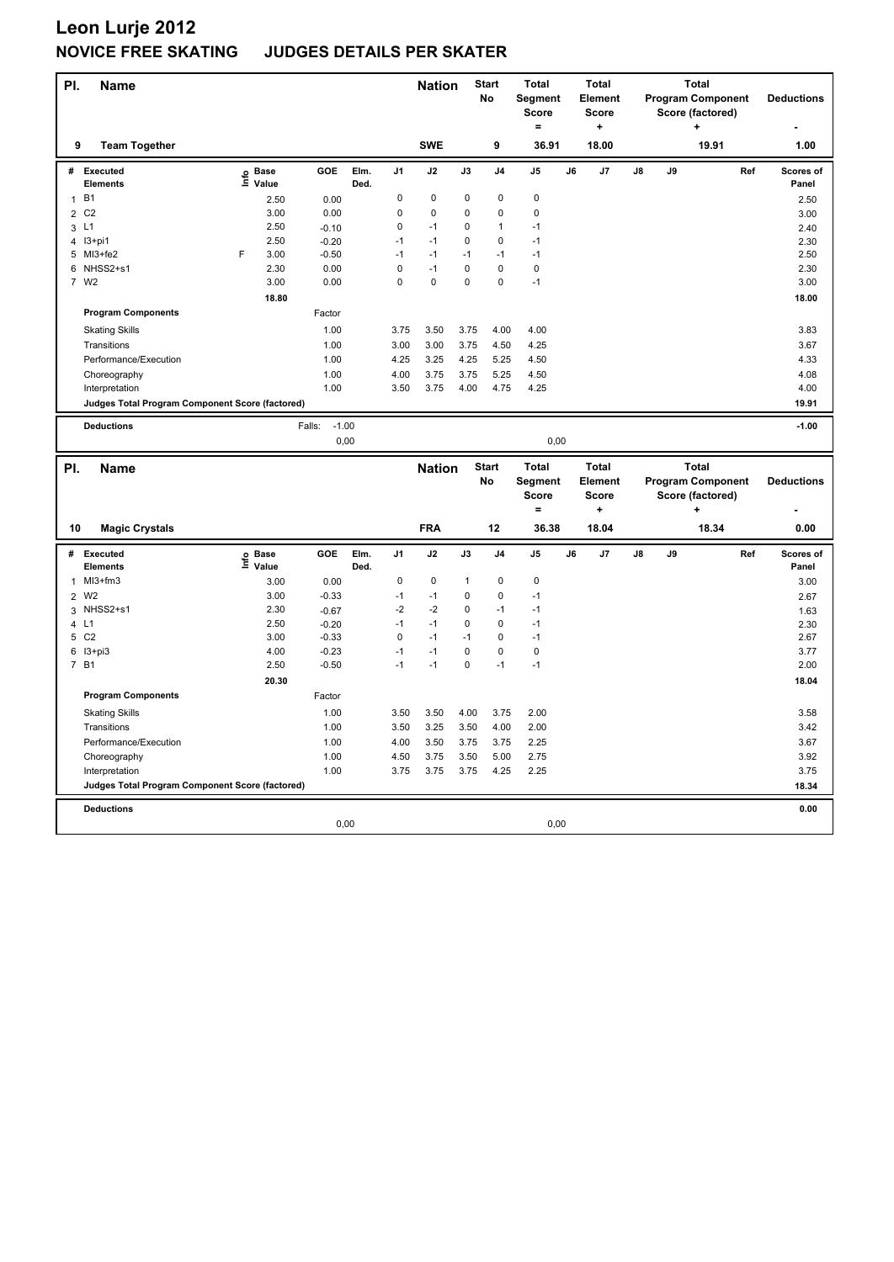| PI.            | <b>Name</b>                                     |                           |                   |              |                | <b>Nation</b> |              | <b>Start</b><br>No | <b>Total</b><br>Segment<br><b>Score</b><br>$=$ |    | <b>Total</b><br><b>Element</b><br>Score<br>$\ddot{}$ |    |    | <b>Total</b><br><b>Program Component</b><br>Score (factored)<br>+ |     | <b>Deductions</b>  |
|----------------|-------------------------------------------------|---------------------------|-------------------|--------------|----------------|---------------|--------------|--------------------|------------------------------------------------|----|------------------------------------------------------|----|----|-------------------------------------------------------------------|-----|--------------------|
| 9              | <b>Team Together</b>                            |                           |                   |              |                | <b>SWE</b>    |              | 9                  | 36.91                                          |    | 18.00                                                |    |    | 19.91                                                             |     | 1.00               |
| #              | <b>Executed</b><br><b>Elements</b>              | <b>Base</b><br>e<br>Value | GOE               | Elm.<br>Ded. | J <sub>1</sub> | J2            | J3           | J <sub>4</sub>     | J5                                             | J6 | J7                                                   | J8 | J9 |                                                                   | Ref | Scores of<br>Panel |
| $\mathbf{1}$   | <b>B1</b>                                       |                           | 2.50<br>0.00      |              | 0              | $\pmb{0}$     | $\mathbf 0$  | $\pmb{0}$          | 0                                              |    |                                                      |    |    |                                                                   |     | 2.50               |
| $\overline{2}$ | C <sub>2</sub>                                  |                           | 3.00<br>0.00      |              | $\mathbf 0$    | $\mathbf 0$   | 0            | $\mathbf 0$        | $\mathbf 0$                                    |    |                                                      |    |    |                                                                   |     | 3.00               |
| 3              | L1                                              |                           | 2.50<br>$-0.10$   |              | 0              | $-1$          | 0            | $\mathbf{1}$       | $-1$                                           |    |                                                      |    |    |                                                                   |     | 2.40               |
|                | 4 13+pi1                                        |                           | 2.50<br>$-0.20$   |              | $-1$           | $-1$          | 0            | $\mathbf 0$        | $-1$                                           |    |                                                      |    |    |                                                                   |     | 2.30               |
|                | 5 MI3+fe2                                       | F                         | 3.00<br>$-0.50$   |              | $-1$           | $-1$          | $-1$         | $-1$               | $-1$                                           |    |                                                      |    |    |                                                                   |     | 2.50               |
|                | 6 NHSS2+s1                                      |                           | 2.30<br>0.00      |              | $\mathsf 0$    | $-1$          | 0            | $\mathbf 0$        | $\pmb{0}$                                      |    |                                                      |    |    |                                                                   |     | 2.30               |
| $\overline{7}$ | W <sub>2</sub>                                  |                           | 3.00<br>0.00      |              | $\mathbf 0$    | $\mathbf 0$   | 0            | $\mathbf 0$        | $-1$                                           |    |                                                      |    |    |                                                                   |     | 3.00               |
|                |                                                 |                           | 18.80             |              |                |               |              |                    |                                                |    |                                                      |    |    |                                                                   |     | 18.00              |
|                | <b>Program Components</b>                       |                           | Factor            |              |                |               |              |                    |                                                |    |                                                      |    |    |                                                                   |     |                    |
|                | <b>Skating Skills</b>                           |                           | 1.00              |              | 3.75           | 3.50          | 3.75         | 4.00               | 4.00                                           |    |                                                      |    |    |                                                                   |     | 3.83               |
|                | Transitions                                     |                           | 1.00              |              | 3.00           | 3.00          | 3.75         | 4.50               | 4.25                                           |    |                                                      |    |    |                                                                   |     | 3.67               |
|                | Performance/Execution                           |                           | 1.00              |              | 4.25           | 3.25          | 4.25         | 5.25               | 4.50                                           |    |                                                      |    |    |                                                                   |     | 4.33               |
|                | Choreography                                    |                           | 1.00              |              | 4.00           | 3.75          | 3.75         | 5.25               | 4.50                                           |    |                                                      |    |    |                                                                   |     | 4.08               |
|                | Interpretation                                  |                           | 1.00              |              | 3.50           | 3.75          | 4.00         | 4.75               | 4.25                                           |    |                                                      |    |    |                                                                   |     | 4.00               |
|                | Judges Total Program Component Score (factored) |                           |                   |              |                |               |              |                    |                                                |    |                                                      |    |    |                                                                   |     | 19.91              |
|                |                                                 |                           |                   |              |                |               |              |                    |                                                |    |                                                      |    |    |                                                                   |     |                    |
|                | <b>Deductions</b>                               |                           | $-1.00$<br>Falls: |              |                |               |              |                    |                                                |    |                                                      |    |    |                                                                   |     | $-1.00$            |
|                |                                                 |                           |                   | 0,00         |                |               |              |                    | 0,00                                           |    |                                                      |    |    |                                                                   |     |                    |
|                |                                                 |                           |                   |              |                |               |              |                    |                                                |    |                                                      |    |    |                                                                   |     |                    |
|                |                                                 |                           |                   |              |                |               |              |                    |                                                |    |                                                      |    |    |                                                                   |     |                    |
| PI.            | <b>Name</b>                                     |                           |                   |              |                | <b>Nation</b> |              | <b>Start</b>       | <b>Total</b>                                   |    | <b>Total</b>                                         |    |    | <b>Total</b>                                                      |     |                    |
|                |                                                 |                           |                   |              |                |               |              | No                 | Segment                                        |    | Element                                              |    |    | <b>Program Component</b>                                          |     | <b>Deductions</b>  |
|                |                                                 |                           |                   |              |                |               |              |                    | <b>Score</b><br>$=$                            |    | <b>Score</b><br>÷                                    |    |    | Score (factored)                                                  |     |                    |
|                |                                                 |                           |                   |              |                |               |              |                    |                                                |    |                                                      |    |    |                                                                   |     |                    |
| 10             | <b>Magic Crystals</b>                           |                           |                   |              |                | <b>FRA</b>    |              | 12                 | 36.38                                          |    | 18.04                                                |    |    | 18.34                                                             |     | 0.00               |
| #              | Executed                                        | <b>Base</b>               | <b>GOE</b>        | Elm.         | J <sub>1</sub> | J2            | J3           | J <sub>4</sub>     | J <sub>5</sub>                                 | J6 | J7                                                   | J8 | J9 |                                                                   | Ref | Scores of          |
|                | <b>Elements</b>                                 | e Base<br>≞ Value         |                   | Ded.         |                |               |              |                    |                                                |    |                                                      |    |    |                                                                   |     | Panel              |
| 1              | MI3+fm3                                         |                           | 3.00<br>0.00      |              | 0              | $\pmb{0}$     | $\mathbf{1}$ | $\mathbf 0$        | $\pmb{0}$                                      |    |                                                      |    |    |                                                                   |     | 3.00               |
| $\overline{2}$ | W <sub>2</sub>                                  |                           | 3.00<br>$-0.33$   |              | $-1$           | $-1$          | 0            | $\mathbf 0$        | $-1$                                           |    |                                                      |    |    |                                                                   |     | 2.67               |
| 3              | NHSS2+s1                                        |                           | 2.30<br>$-0.67$   |              | $-2$           | $-2$          | 0            | $-1$               | $-1$                                           |    |                                                      |    |    |                                                                   |     | 1.63               |
|                | 4 L1                                            |                           | 2.50<br>$-0.20$   |              | $-1$           | $-1$          | 0            | $\mathbf 0$        | $-1$                                           |    |                                                      |    |    |                                                                   |     | 2.30               |
|                | 5 C <sub>2</sub>                                |                           | 3.00<br>$-0.33$   |              | $\mathsf 0$    | $-1$          | $-1$         | $\mathbf 0$        | $-1$                                           |    |                                                      |    |    |                                                                   |     | 2.67               |
| 6              | $13 + pi3$                                      |                           | 4.00<br>$-0.23$   |              | $-1$           | $-1$          | 0            | $\mathbf 0$        | $\pmb{0}$                                      |    |                                                      |    |    |                                                                   |     | 3.77               |
|                | 7 B1                                            |                           | 2.50<br>$-0.50$   |              | $-1$           | $-1$          | 0            | $-1$               | $-1$                                           |    |                                                      |    |    |                                                                   |     | 2.00               |
|                |                                                 | 20.30                     |                   |              |                |               |              |                    |                                                |    |                                                      |    |    |                                                                   |     | 18.04              |
|                | <b>Program Components</b>                       |                           | Factor            |              |                |               |              |                    |                                                |    |                                                      |    |    |                                                                   |     |                    |
|                | <b>Skating Skills</b>                           |                           | 1.00              |              | 3.50           | 3.50          | 4.00         | 3.75               | 2.00                                           |    |                                                      |    |    |                                                                   |     | 3.58               |
|                | Transitions                                     |                           | 1.00              |              | 3.50           | 3.25          | 3.50         | 4.00               | 2.00                                           |    |                                                      |    |    |                                                                   |     | 3.42               |
|                | Performance/Execution                           |                           | 1.00              |              | 4.00           | 3.50          | 3.75         | 3.75               | 2.25                                           |    |                                                      |    |    |                                                                   |     | 3.67               |
|                | Choreography                                    |                           | 1.00              |              | 4.50           | 3.75          | 3.50         | 5.00               | 2.75                                           |    |                                                      |    |    |                                                                   |     | 3.92               |
|                | Interpretation                                  |                           | 1.00              |              | 3.75           | 3.75          | 3.75         | 4.25               | 2.25                                           |    |                                                      |    |    |                                                                   |     | 3.75               |
|                | Judges Total Program Component Score (factored) |                           |                   |              |                |               |              |                    |                                                |    |                                                      |    |    |                                                                   |     | 18.34              |
|                |                                                 |                           |                   |              |                |               |              |                    |                                                |    |                                                      |    |    |                                                                   |     |                    |
|                | <b>Deductions</b>                               |                           |                   | 0,00         |                |               |              |                    | 0,00                                           |    |                                                      |    |    |                                                                   |     | 0.00               |